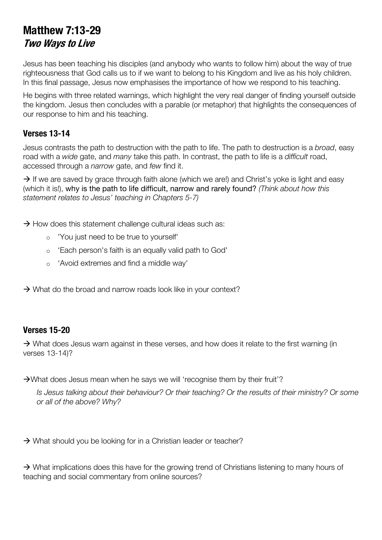# **Matthew 7:13-29 Two Ways to Live**

Jesus has been teaching his disciples (and anybody who wants to follow him) about the way of true righteousness that God calls us to if we want to belong to his Kingdom and live as his holy children. In this final passage, Jesus now emphasises the importance of how we respond to his teaching.

He begins with three related warnings, which highlight the very real danger of finding yourself outside the kingdom. Jesus then concludes with a parable (or metaphor) that highlights the consequences of our response to him and his teaching.

### **Verses 13-14**

Jesus contrasts the path to destruction with the path to life. The path to destruction is a *broad*, easy road with a *wide* gate, and *many* take this path. In contrast, the path to life is a *difficult* road, accessed through a *narrow* gate, and *few* find it.

 $\rightarrow$  If we are saved by grace through faith alone (which we are!) and Christ's yoke is light and easy (which it is!), why is the path to life difficult, narrow and rarely found? *(Think about how this statement relates to Jesus' teaching in Chapters 5-7)*

- $\rightarrow$  How does this statement challenge cultural ideas such as:
	- o 'You just need to be true to yourself'
	- o 'Each person's faith is an equally valid path to God'
	- o 'Avoid extremes and find a middle way'
- $\rightarrow$  What do the broad and narrow roads look like in your context?

#### **Verses 15-20**

 $\rightarrow$  What does Jesus warn against in these verses, and how does it relate to the first warning (in verses 13-14)?

 $\rightarrow$ What does Jesus mean when he says we will 'recognise them by their fruit'?

*Is Jesus talking about their behaviour? Or their teaching? Or the results of their ministry? Or some or all of the above? Why?*

 $\rightarrow$  What should you be looking for in a Christian leader or teacher?

 $\rightarrow$  What implications does this have for the growing trend of Christians listening to many hours of teaching and social commentary from online sources?